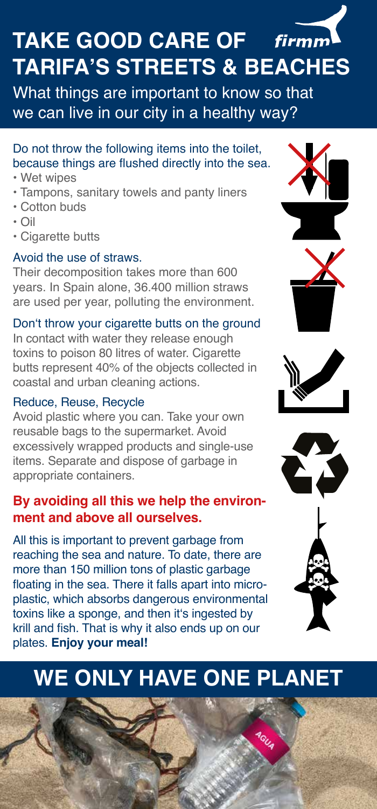# **TAKE GOOD CARE OF TARIFA'S STREETS & BEACHES**

What things are important to know so that we can live in our city in a healthy way?

### Do not throw the following items into the toilet, because things are flushed directly into the sea.

- Wet wipes
- Tampons, sanitary towels and panty liners
- Cotton buds
- Oil
- Cigarette butts

### Avoid the use of straws.

Their decomposition takes more than 600 years. In Spain alone, 36.400 million straws are used per year, polluting the environment.

#### Don't throw your cigarette butts on the ground

In contact with water they release enough toxins to poison 80 litres of water. Cigarette butts represent 40% of the objects collected in coastal and urban cleaning actions.

#### Reduce, Reuse, Recycle

Avoid plastic where you can. Take your own reusable bags to the supermarket. Avoid excessively wrapped products and single-use items. Separate and dispose of garbage in appropriate containers.

### **By avoiding all this we help the environment and above all ourselves.**

All this is important to prevent garbage from reaching the sea and nature. To date, there are more than 150 million tons of plastic garbage floating in the sea. There it falls apart into microplastic, which absorbs dangerous environmental toxins like a sponge, and then it's ingested by krill and fish. That is why it also ends up on our plates. **Enjoy your meal!**









## **WE ONLY HAVE ONE PLANET**